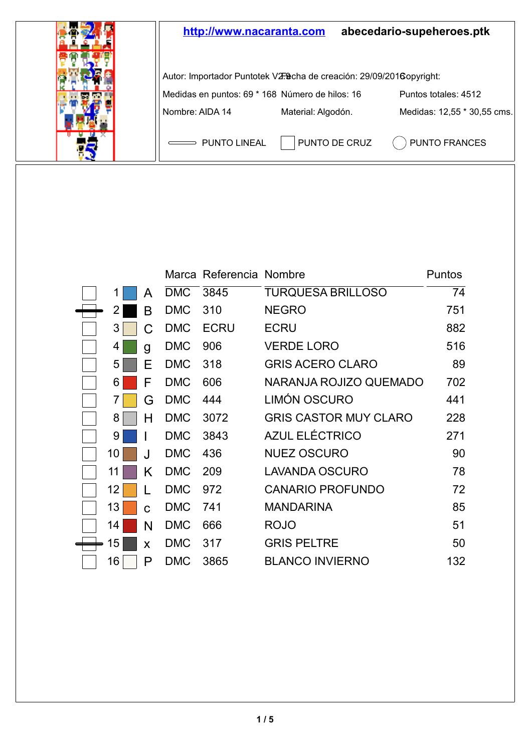

|    |   |            | Marca Referencia Nombre |                              | Puntos |
|----|---|------------|-------------------------|------------------------------|--------|
|    | A | <b>DMC</b> | 3845                    | TURQUESA BRILLOSO            | 74     |
| 2  | В | <b>DMC</b> | 310                     | <b>NEGRO</b>                 | 751    |
| 3  | C | <b>DMC</b> | <b>ECRU</b>             | ECRU                         | 882    |
| 4  | g | <b>DMC</b> | 906                     | VERDE LORO                   | 516    |
| 5  | Ε | <b>DMC</b> | 318                     | <b>GRIS ACERO CLARO</b>      | 89     |
| 6  | F | <b>DMC</b> | 606                     | NARANJA ROJIZO QUEMADO       | 702    |
| 7  | G | <b>DMC</b> | 444                     | LIMÓN OSCURO                 | 441    |
| 8  | н | <b>DMC</b> | 3072                    | <b>GRIS CASTOR MUY CLARO</b> | 228    |
| 9  | I | <b>DMC</b> | 3843                    | AZUL ELÉCTRICO               | 271    |
| 10 | J | <b>DMC</b> | 436                     | <b>NUEZ OSCURO</b>           | 90     |
| 11 | Κ | <b>DMC</b> | 209                     | LAVANDA OSCURO               | 78     |
| 12 |   | <b>DMC</b> | 972                     | <b>CANARIO PROFUNDO</b>      | 72     |
| 13 | C | <b>DMC</b> | 741                     | <b>MANDARINA</b>             | 85     |
| 14 | N | <b>DMC</b> | 666                     | ROJO                         | 51     |
| 15 | X | <b>DMC</b> | 317                     | <b>GRIS PELTRE</b>           | 50     |
| 16 | P | <b>DMC</b> | 3865                    | <b>BLANCO INVIERNO</b>       | 132    |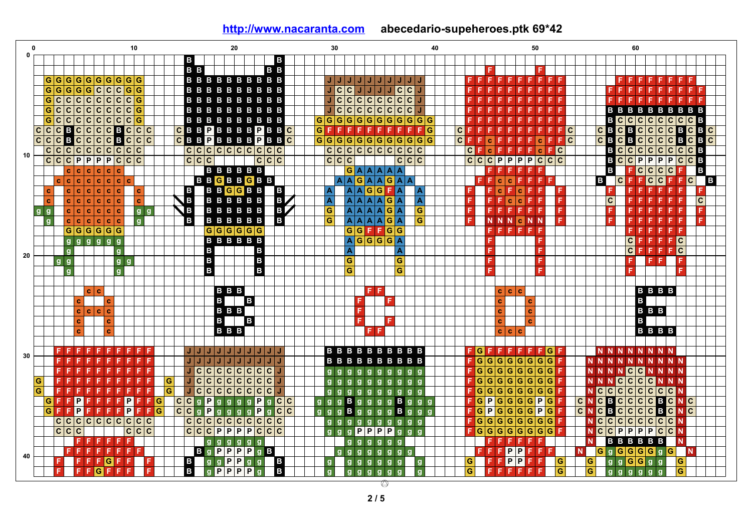| 0            | 10                                                                                                   | 20                                                                                                                                          | 30                                                    | 40                                                      | 50                                                                                         | 60                                                                                         |
|--------------|------------------------------------------------------------------------------------------------------|---------------------------------------------------------------------------------------------------------------------------------------------|-------------------------------------------------------|---------------------------------------------------------|--------------------------------------------------------------------------------------------|--------------------------------------------------------------------------------------------|
| $\mathbf{0}$ |                                                                                                      | в<br>B                                                                                                                                      |                                                       |                                                         |                                                                                            |                                                                                            |
|              |                                                                                                      | B <sub>B</sub><br>B <sub>B</sub>                                                                                                            |                                                       |                                                         | F<br>F.                                                                                    |                                                                                            |
|              | $G G G G G G G G G G G$                                                                              | <b>BBBBBBBBBB</b>                                                                                                                           | U U U U U U U U U                                     |                                                         | FFFF<br>FFF<br>F.<br>F.<br>-F.                                                             | F<br>FFFFFFF                                                                               |
| <b>G</b>     | $\overline{\mathbf{c}}$<br>G G <br>$\overline{\mathsf{c}}$<br>$\overline{c}$<br> G G<br>$\mathsf{G}$ | <b>BBBBBBBBBB</b>                                                                                                                           | JJJJJc<br>J.<br> c c                                  | $\overline{c}$                                          |                                                                                            | F.                                                                                         |
|              | $G C C C C C C C C G $                                                                               | <b>BBBBBBBBBB</b>                                                                                                                           | $J C C C C C C C C J$                                 |                                                         |                                                                                            | F<br>IF F<br>F F                                                                           |
|              | $Gc Cc Cc Cc Cc Gc$                                                                                  | <b>BBBBBBBBBB</b>                                                                                                                           | $c c c c c c c c c c$                                 |                                                         |                                                                                            | <b>BBBBBBBBBB</b>                                                                          |
|              | $Gc Cc Cc$<br>$\overline{\mathsf{c}}$<br>$\overline{\mathsf{c}}$<br>$\mathbf c$<br>G                 | <b>BBBBBBBBBB</b>                                                                                                                           | G G <br>G<br> G∣G<br>$\mathbf{G}$<br>G                | G G G<br>G<br>G                                         |                                                                                            | $\overline{\mathsf{c}}$<br> c c c c <br>$ {\bf C} {\bf C} $ ${\bf B}$<br>В                 |
|              | $C C C B C C C$<br>$c$ $c$ $c$ $c$                                                                   | <b>CBBPBBBBPBBC</b>                                                                                                                         | G<br>F<br>F<br>F<br>F<br>F<br>F                       | F<br>F<br>F<br>F G<br> c                                | FFC                                                                                        | $C$ $B$ $C$ $C$ $C$ $B$ $C$ $B$<br>c<br>B<br>C                                             |
| c c          | B<br>c c c <br> c<br>c c c<br>$ {\bf C} $ B                                                          | $C$ BB <b>P</b> BBBB <b>P</b> BB<br>C                                                                                                       | G G G G G G G G                                       | G G G G<br>$ {\bf C} $ F                                | FFC<br>F<br>F<br>$\mathbf{c}$<br>Ċ                                                         | BCCCCBC<br>C<br>$\mathbf{C}$<br>B<br>$\mathbf c$<br>B                                      |
|              | c c c c<br> c c c c c c                                                                              | c c c c c c c c <br>c c                                                                                                                     | c c c c c c c                                         | ∣c.<br> c c<br> c                                       | $c$ $F$ $c$<br>F<br>F.<br>$\mathbf{c}$<br>F<br>F<br>F                                      | $c c c c c c c s$<br>$\overline{\mathbf{c}}$<br>B                                          |
| 10           | $C C C P P P$<br>╔<br> c c c                                                                         | c c c<br> c c c                                                                                                                             | c c c                                                 | $\overline{c}$<br>$ \mathsf{c} \mathsf{c}$<br> c        | c c<br>$\overline{P}$<br>$Pc$ $Cc$<br>P<br>P                                               | $\overline{c}$<br>$CP$ $P$ $P$ $P$ $C$ $P$ $P$ $P$ $C$ $C$ $E$<br>B                        |
|              | c c c<br>  c  <br>$\mathbf{c}$<br>$\mathbf{c}$                                                       | <b>BBBBBB</b>                                                                                                                               | G[A A A A]A                                           |                                                         | F.<br>F<br>F<br>F                                                                          | в<br>F<br> c c c c <br>B<br>F.                                                             |
|              |                                                                                                      | <b>BBGBBGBB</b>                                                                                                                             | A A G A A G A A                                       |                                                         | F.<br>F.<br>l c<br>$\mathbf{c}$<br>F<br>F F.<br>l F                                        | F <sub>F</sub><br>$C$ $C$ $F$ $F$<br>В<br>$ {\bf c}$<br> c <br>$\overline{B}$              |
|              | l c<br>$\mathbf{c}$<br>$\mathbf{c}$<br> c <br><b>C</b><br>c                                          | BBGGBB<br>$\overline{B}$<br>B                                                                                                               | $\mathbf{G}$<br>A A G <br>A                           | <b>F</b> A<br>A                                         | $\mathbf{c}$<br>F<br>F<br>$\mathbf{c}$<br>F                                                | F.<br>FFF<br>F<br>F<br>F<br>F                                                              |
|              | c.                                                                                                   | ЪZ<br><b>BBBBBB</b><br>B                                                                                                                    |                                                       | $\overline{A}$<br>F                                     | F<br>F                                                                                     | c<br> c<br>F F<br>FFFF                                                                     |
|              | c c<br>c<br>c<br>Ċ                                                                                   |                                                                                                                                             | A<br>$A$ $A$ $A$ $A$ $G$ $A$                          |                                                         | $\mathbf{c}$<br>$\mathbf{C}$<br>l F                                                        | F<br>F                                                                                     |
| g            | $\mathbf{c}$<br> c c<br>c c<br>l c.<br>$q \dot q$                                                    | $\mathbf{G}$<br><b>BBBBBB</b><br>B                                                                                                          | G<br>A A A A G A                                      | G<br>E                                                  | F<br>F.<br>FF<br>F                                                                         | F F.<br>F.<br>FFF                                                                          |
|              | c c c<br>c c l<br><b>C</b>                                                                           | B<br><b>BBBBBB</b><br>в                                                                                                                     | G<br>$A$ $A$ $A$ $A$ $G$ $A$                          | G<br>F                                                  | <b>CNN</b><br>N<br>$\mathbb{N}$                                                            | F<br>F F<br>F                                                                              |
|              | G G G G G G                                                                                          | G G G G G G                                                                                                                                 | $G$ $G$ $F$ $F$ $G$ $G$                               |                                                         | FFFF<br>F.                                                                                 | FF<br>F.<br>-F<br>F.                                                                       |
|              | 999999                                                                                               | <b>BBBBBB</b>                                                                                                                               | A G G G G A                                           |                                                         |                                                                                            | c<br>FFC<br>-F.                                                                            |
| 20           | g<br>g                                                                                               | B<br>B                                                                                                                                      |                                                       | A                                                       |                                                                                            | c<br>$F$ $F$ $G$<br>F.<br>-F.                                                              |
|              | g <br>g g<br>g                                                                                       | B<br>B                                                                                                                                      | G                                                     | $\overline{\mathbf{G}}$                                 |                                                                                            | F<br>F<br>FFI                                                                              |
|              | $\mathbf{g}$<br><b>g</b>                                                                             | $\mathbf{B}$<br>B                                                                                                                           | G                                                     | G                                                       |                                                                                            | F<br>F                                                                                     |
|              |                                                                                                      |                                                                                                                                             |                                                       |                                                         |                                                                                            |                                                                                            |
|              | c l<br>l c                                                                                           | B B B                                                                                                                                       | <b>FF</b>                                             |                                                         | c c<br>c                                                                                   | <b>BBBB</b>                                                                                |
|              | Ċ.<br>l c                                                                                            | $\, {\bf B}$<br>$\mathbf{B}$                                                                                                                |                                                       | F                                                       | c.<br>c                                                                                    | $\mathbf{B}$                                                                               |
|              | c c c c                                                                                              | B B B                                                                                                                                       | F                                                     |                                                         | c<br>c                                                                                     | B B B                                                                                      |
|              | $\mathbf{c}$                                                                                         | B<br>B                                                                                                                                      |                                                       | F.                                                      | c<br>$\mathbf{c}$                                                                          | в                                                                                          |
|              | $\mathbf{c}$<br>c                                                                                    | <b>BBB</b>                                                                                                                                  | FF                                                    |                                                         | c c c                                                                                      | <b>BBBB</b>                                                                                |
|              |                                                                                                      |                                                                                                                                             |                                                       |                                                         |                                                                                            |                                                                                            |
|              |                                                                                                      | JJ<br>J/J<br> J J J J J<br>J                                                                                                                | <b>BBBBBBBBBB</b>                                     | $F$ G                                                   | $F$ $F$ $F$ $F$ $G$<br>F<br>F.                                                             | <b>NNNN</b><br>-N<br>-N                                                                    |
| 30           |                                                                                                      | JJ<br>J.<br>J<br>J<br> J J J J J                                                                                                            | <b>BBBBBBBBBB</b>                                     | $F$ G                                                   | $\overline{G}$<br>G<br> G G <br> G G G F                                                   | <b>NNNN</b><br><b>NNN</b><br><b>N</b><br>$\mathbf N$<br>N                                  |
|              |                                                                                                      | c c c c c c <br>J C<br>J                                                                                                                    | $\mathbf{q}$<br>$q \dot q$                            | $g$ $g$<br><b>g</b><br>$\mathbf{g}$                     | $\overline{\mathsf{G}}\vert \overline{\mathsf{G}}$<br> G G <br>$\overline{G}$<br>G<br> G G | <b>CCNNNN</b><br>N<br>N N<br>N                                                             |
| G            | G                                                                                                    | $\overline{\mathbf{c}}$<br> c <br>c c c c c <br>$\overline{c}$                                                                              | g<br>$\mathbf{g}$<br>g                                | F.<br>$g$ $g$<br>g<br>g                                 | G G <br>$G$ $G$ $G$ $F$<br>$\mathbf{G}$<br>G<br>G                                          | $ \mathbf{c} $<br>CCCNNN<br>N <sub>N</sub> <sub>N</sub>                                    |
| $\mathbf{G}$ | G<br>F<br>Е                                                                                          | $\overline{c}$<br>$ {\tt c} {\tt c} {\tt c} {\tt c} {\tt c} {\tt c} $<br>$\overline{c}$                                                     | $\mathbf{q}$<br>$\mathbf{q}$<br>$\alpha$<br>q<br> q q | $F$ G<br>g <sub>g</sub><br>$\mathbf{g}$<br>$\mathbf{g}$ | G G<br> G G <br> G G G F                                                                   | $\mathbf{c}$<br>$ {\tt c} {\tt c} {\tt c} {\tt c} {\tt c} {\tt c} {\tt N}$<br>N.           |
| ۱G           | P<br>P<br>G                                                                                          | P<br>c<br>g<br>P<br>$\mathbf{C}$<br>$\mathbf{g}$<br>l g <b>C</b><br>$\mathbf{g}$<br>c<br>$\mathbf{g}$<br>g                                  | B g g<br>$\mathbf{g}$<br>g<br>g                       | $B \vert g \vert g \vert g$<br>$\mathbf{g}$             | $\overline{P}$<br>$\mathbf G$<br>$\mathbb{G}$<br>G<br>G<br>G<br>PG                         | BCCCCBCNC<br>N <sub>c</sub><br>$\mathbf{C}$                                                |
| ۱G<br>IF.    | $\overline{P}$<br>P<br>F<br>l G<br>F<br>F.<br>F.<br>-F                                               | $\overline{P}$<br>$\overline{c}$<br> c <br>$\mathbf{g}$<br> c c<br>$\mathbf{g}$<br>$\mathbf{g}$<br> P<br>$\mathbf{g}$<br>$\mathbf{g}$<br> q | в<br>$\mathbf{g}$<br>$\bullet$<br>g<br>$g$ $g$        | I F I G I<br>в<br>$g$ $g$<br>g                          | G G G<br>$\overline{P}$<br>G<br>$P$ G $F$                                                  | $C$ $C$ $C$ $B$<br>$\overline{\mathbf{c}}$<br>$\mathbf{C}$<br>$\, {\bf B}$<br>CN<br>C<br>N |
|              |                                                                                                      | c c c c c c c c <br>$\mathbf{C}$<br>C.                                                                                                      | g<br>$\mathbf{q}$<br>$\mathbf{q}$<br>$q$ $q$<br>q     | $F$ G<br>g g<br>g<br>$\mathbf{g}$                       | $G$ G $G$ G $G$ F<br> G G                                                                  | $Cc Cc Cc CN$<br>$\mathbf c$<br>N                                                          |
|              | c c c<br>C<br> c c                                                                                   | $\overline{P}$<br>$\overline{P}$<br>$\overline{\mathsf{c}}$<br>PPCC<br> c c                                                                 | P P <br>P<br>$\mathbf{q}$                             | P<br>F[G]<br>g g                                        | $\overline{\mathsf{G} \mathsf{G}}$<br>G<br>G<br>G<br> G G                                  | $\overline{P}$<br> P <br>PPCCH<br>$\mathbf{c}$<br>$\mathbf c$<br>N                         |
|              | F<br>F<br>E                                                                                          |                                                                                                                                             |                                                       |                                                         | <b>F</b><br>F.<br>F<br>F.                                                                  |                                                                                            |
|              | F.<br>F                                                                                              | $\mathbf{g}$<br>$\mathbf{g}$<br>g<br>$\mathbf{g}$<br>$\mathbf{q}$<br><b>a</b>                                                               | g<br>g<br>g                                           | g<br>g                                                  | F<br>F.<br>F.<br>F.                                                                        | <b>BBBBBB</b><br><b>N</b><br>N<br>$g$ G G G G $g$ G $N$                                    |
| 40           | F<br>F<br>F<br>F                                                                                     | $B$ g $P$ $P$ $P$ $P$ $g$ $B$                                                                                                               | $q \, q$<br>$\mathbf{q}$<br>⊕                         | $\bullet$<br>$\mathbf{g}$<br>$\mathbf{g}$               | P<br>F<br>P<br>F<br>-F                                                                     | N.<br>G                                                                                    |
|              | G<br>F<br>F<br>F<br>F.<br>FF                                                                         | $\mathbf{g}$<br>P<br>P<br>$\frac{g}{P}$<br>$\frac{B}{B}$<br>B<br>$\mathbf{g}$<br>$\overline{P}$                                             | $\frac{g}{g}$<br>$g$ $g$ $g$<br>$\mathbf{g}$          | G<br>9<br>g<br>g                                        | P <br>P<br>١G<br>F.<br>F.<br>F                                                             | $g$ $g$<br>$G$ $G$ $g$ $g$<br>G<br>G                                                       |
|              | $F$ $F$ $G$<br>F                                                                                     | Ïв<br>$\overline{\mathsf{P}}\overline{\mathsf{P}}$<br>$\mathbf{g}$<br>$\mathbf{q}$                                                          | $g$ $g$ $g$ $g$<br>$\mathbf{g}$                       | <b>G</b><br>$\mathbf{g}$<br>q                           | FFFF<br>G<br>F.<br>F                                                                       | G<br>G<br>$g$ $g$<br>$\mathbf{q}$<br>$\mathbf{q}$<br>o                                     |
|              |                                                                                                      |                                                                                                                                             | ◎                                                     |                                                         |                                                                                            |                                                                                            |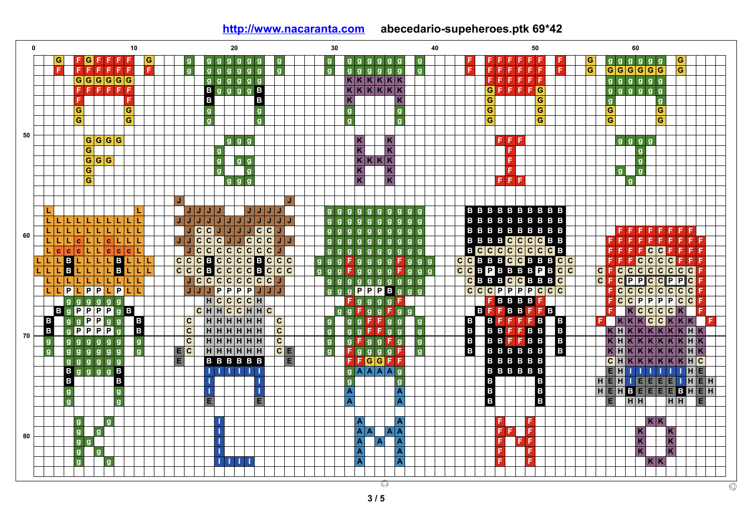**0 10 20 30 40 50 60 G G G F F F F F g g g g g g g g g g g g g g g g F F F F F F F F G g g g g g g G F F g F F F G G G F F F G G F G G F G F g g g g g g g g g g g g g g g F F F F F G G G G G G g g g g F g g K K K K K K F F F F F g g g g g g B g G F F F G F F F F F F g g g B K K K K K K F g g g g g g B B G G F F K K g g G G g G G G G g g g G G g g G G G G g g 50 F F G G G G g g g K K F g g g g G g K K F g G G G g g K K K K F g g G g g K K F g g G g g g K K F F F g J J L L J J J J J J J J g g g g g g g g g g B B B B B B B B B B L L L L L L L L L L J J J J J J J J J J J J g g g g g g g g g g B B B B B B B B B B C C C B B L L L L L L L L L L J C J J J J J g g g g g g g g g g B B B B B B B B F F F F F F F F 60 C C C C C L L L c L L c L L L J J C J J J J g g g g g g g g g g B B B B C C C C B B F F F F F F F F F F**  $\overline{c}$  $\overline{c}$ **C C C C**  $|c|$ **C L c c c L L c c c L J J g g g g g g g g g g B C C C C C C C C B F F F F C C F F F F B C C**  $\overline{c}$ **B C B C**  $|c|$ **C L L L B L L L L L L L C C C C g g g F g g g g F g g g C C B B B C C B B B C C F F F C C C F F F B C B B B C C**  $\overline{c}$ **C L L L L L L L L L L C C C C C C g g g F g g g g F g g g C C B P B B B B P B C C F C C C C C C C C F C C C P P C L L L L L L L L L L J C C C C C C C J g g g g g g g g g g C B B B C C B B B C F P P C C F P P C C C C L L L P P L L L J J J P P P P J J J g g g P P P B g g g C C C P P P P C C C F C C C C F C P P P g g g g g g H C C C C H F g g g g F F B B B B F F C P C C F B g C C C C B g P P P P g B C H H C C H H C g g F g g F g B F F B B F F F K K F B P P B**  $\overline{c}$ **C B B B B**  $\mathbf{C}$ **g g g g H H H H H H g g g F F g g g F F F F F K K K C K K K F B B P P B C C B g P P g H H H H H H g g g F F g g g B B F F B B K H K K K K K K H K 70 C B B g g C g g g g g g g g H H H H H H g F g g F g B B F F B B K H K K K K K K H K B g B g g g g g g g g E C H H H H H H C E F g g g g F g B B B B B B K H K K K K K K H K g g g g g g E B B B B B B E F F G G F F B B B B B B C H K K K K K K H C B g g g g B I I I I I I g A A A A g B B B B B B E H I I I I I I H E B B B B H I I g g E H I E E E E I H E H g B B H H g I I A A E H B E E E E B H E B в g g E E A A E H H H H E g g I A A F F K K g g I A A A A F F F K K 80 g g I A A A F F F K K g I A A F F K K g g F g I I I I A A F K K**  $\circ$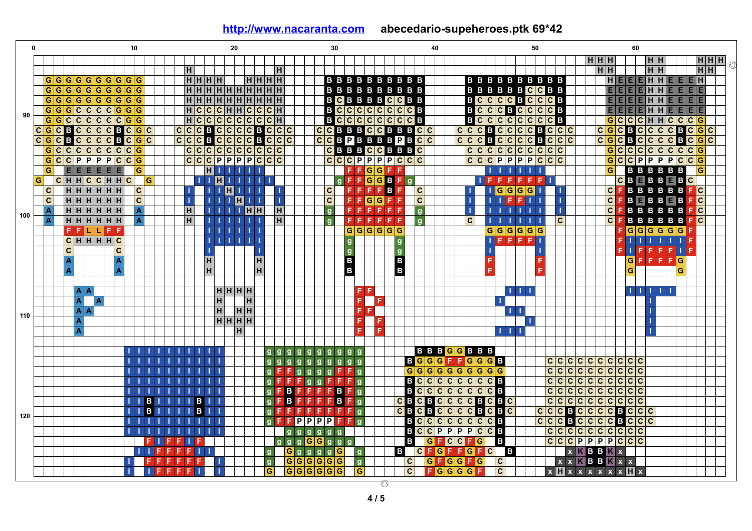|     |                           |                         |                         |            |   |                             |                         | 10                                                     |      |    |   |       |                |      |                         |                                            | 20             |       |   |                |                                                                                  |                         | 30             |                         |             |                         |                |    |     |                 |                                     |                                        |                | 40 |                                 |                |                  |      |                         |                                                                          |      | 50             |                         |                         | 60 |  |       |                         |                                                             |              |              |         |   |                             |           |                          |       |   |
|-----|---------------------------|-------------------------|-------------------------|------------|---|-----------------------------|-------------------------|--------------------------------------------------------|------|----|---|-------|----------------|------|-------------------------|--------------------------------------------|----------------|-------|---|----------------|----------------------------------------------------------------------------------|-------------------------|----------------|-------------------------|-------------|-------------------------|----------------|----|-----|-----------------|-------------------------------------|----------------------------------------|----------------|----|---------------------------------|----------------|------------------|------|-------------------------|--------------------------------------------------------------------------|------|----------------|-------------------------|-------------------------|----|--|-------|-------------------------|-------------------------------------------------------------|--------------|--------------|---------|---|-----------------------------|-----------|--------------------------|-------|---|
|     |                           |                         |                         |            |   |                             |                         |                                                        |      |    |   |       |                |      |                         |                                            |                |       |   |                |                                                                                  |                         |                |                         |             |                         |                |    |     |                 |                                     |                                        |                |    |                                 |                |                  |      |                         |                                                                          |      |                |                         |                         |    |  | H H H |                         |                                                             |              |              | H H     |   |                             |           |                          | H H H |   |
|     |                           |                         |                         |            |   |                             |                         |                                                        |      |    |   |       | H              |      |                         |                                            |                |       |   | H              |                                                                                  |                         |                |                         |             |                         |                |    |     |                 |                                     |                                        |                |    |                                 |                |                  |      |                         |                                                                          |      |                |                         |                         |    |  |       | H H                     |                                                             |              |              | HH      |   |                             |           |                          | $H$ H | € |
|     |                           |                         |                         |            |   |                             |                         |                                                        |      |    |   |       | HHHH           |      |                         |                                            |                | HHHH  |   |                |                                                                                  |                         |                |                         |             |                         |                |    |     |                 | <b>BBBBBBBBBB</b>                   |                                        |                |    |                                 |                |                  |      |                         | <b>BBBBBBBBBB</b>                                                        |      |                |                         |                         |    |  |       |                         |                                                             |              |              |         |   | $HEEEHHEEH$                 |           |                          |       |   |
|     | G                         | $\mathbf G$             | G                       |            |   |                             |                         | G G G G G G G                                          |      |    |   |       |                |      |                         | H   H   H   H   H   H   H   H   H          |                |       |   |                |                                                                                  |                         |                |                         |             |                         |                |    |     |                 | <b>BBBBBBBBBB</b>                   |                                        |                |    |                                 |                |                  |      |                         | <b>BBBBBBCCBB</b>                                                        |      |                |                         |                         |    |  |       |                         | EE                                                          |              |              | E E H H |   | <b>EEEE</b>                 |           |                          |       |   |
|     | G                         | $\overline{G}$          |                         |            |   |                             |                         | <b>GGGGGGGG</b>                                        |      |    |   |       |                |      |                         | H   H   H   H   H   H   H   H              |                |       |   |                |                                                                                  |                         |                |                         |             |                         |                |    |     |                 | <b>BCBBBBCCBB</b>                   |                                        |                |    |                                 |                |                  |      |                         | $B$ $C$ $C$ $C$ $B$ $C$                                                  |      |                | C C B                   |                         |    |  |       |                         | E E E E H H                                                 |              |              |         |   | E E E E                     |           |                          |       |   |
|     | G                         | $\overline{G}$          |                         |            |   |                             |                         | $Gc c c G G$                                           |      |    |   |       | $\overline{H}$ |      |                         | $ c c c $ $ H H c c c H$                   |                |       |   |                |                                                                                  |                         |                | B                       |             |                         |                |    |     |                 | $C C C C C C C C B$                 |                                        |                |    |                                 | $\, {\bf B}$   |                  |      |                         | C C C B C C C                                                            |      |                | <b>C</b> B              |                         |    |  |       |                         | $E$ $E$ $E$ $E$ $H$ $H$                                     |              |              |         |   | $E$ $E$ $E$ $E$ $E$         |           |                          |       |   |
| 90  | $\overline{G}$            | $\overline{G}$          | c                       |            |   |                             |                         | $c$ <sub>c</sub> $c$ <sub>c</sub> $c$ <sub>6</sub> $s$ |      |    |   |       |                |      |                         | $H C C C C C C C C C H$                    |                |       |   |                |                                                                                  |                         |                |                         |             |                         |                |    |     |                 | $B$ $C$ $C$ $C$ $C$ $C$ $C$ $C$ $B$ |                                        |                |    |                                 |                |                  |      |                         |                                                                          |      |                |                         |                         |    |  |       |                         |                                                             |              |              |         |   | $G C C C H H C C C G$       |           |                          |       |   |
|     | $C G C B C C C C B C G C$ |                         |                         |            |   |                             |                         |                                                        |      |    |   | c c   |                |      |                         |                                            |                |       |   |                | $C \  \  \, C \  \  \, C \  \  \, C \  \  \, C \  \  \, C \  \  \, C \  \  \, C$ |                         |                |                         |             |                         |                |    |     |                 | CCBBBCCBBBCC                        |                                        |                |    |                                 |                |                  |      |                         | ___ <mark>B_C_C_C_C_C_C_B_</mark><br><mark>C_C_C_B_C_C_C_B_C_C_C_</mark> |      |                |                         |                         |    |  |       |                         |                                                             |              |              |         |   | $C G C B C C C C B C G C$   |           |                          |       |   |
|     | $ c $ <sub>G</sub> $ c $  |                         | іві                     |            |   |                             |                         | $C C C C B C G C$                                      |      |    |   | c c c |                |      |                         |                                            |                |       |   |                | c c c                                                                            |                         |                |                         |             |                         |                |    |     |                 | CCBPBBBBPB                          |                                        | c c            |    |                                 | $\overline{c}$ | c c              |      |                         | B C C C C B                                                              |      |                | C                       | c c                     |    |  |       |                         |                                                             |              |              |         |   |                             |           | $ c $ <sub>G</sub> $ c $ |       |   |
|     | G                         | $\mathbf{c}$            | $\overline{c}$          |            |   |                             |                         | c c c c c c c c                                        |      |    |   |       | $\overline{c}$ |      |                         | <b>CBCCCCB</b><br>CCCCCCC<br>c c c c c c c |                |       |   |                |                                                                                  |                         |                | $\overline{\mathbf{c}}$ |             |                         |                |    |     |                 | <b>BBBCCBBBC</b>                    |                                        |                |    |                                 |                | $\overline{c c}$ |      |                         | c c c c c                                                                |      | $\mathbf c$    | c                       | $ \mathbf{c} $          |    |  |       |                         | $G$ $C$ $C$ $C$ $C$ $C$                                     |              |              |         |   |                             | $ c c $ G |                          |       |   |
|     | G                         | $\overline{\mathsf{c}}$ | C P                     |            |   |                             |                         | $P$ $P$ $P$ $C$ $C$ $G$                                |      |    |   |       |                |      |                         | $C C C P P P P C C C$                      |                |       |   |                |                                                                                  |                         |                |                         |             | c c c P                 |                |    |     |                 | $P$ $P$ $C$ $C$ $C$                 |                                        |                |    |                                 |                |                  |      |                         | $C C C P P P P C C C$                                                    |      |                |                         |                         |    |  |       |                         |                                                             |              |              |         |   | $G C C P P P P C C G$       |           |                          |       |   |
|     | G                         |                         |                         |            |   | $E[E]E[E]E$                 |                         | G                                                      |      |    |   |       |                |      | $\overline{\mathbf{H}}$ |                                            |                |       |   |                |                                                                                  |                         |                |                         |             | F                       | F              |    |     | $G$ $G$ F F     |                                     |                                        |                |    |                                 |                |                  | 11 I |                         | ш                                                                        |      |                |                         |                         |    |  |       |                         | $\vert G \vert$                                             |              |              |         |   | <b>BBBBBB</b>               |           | l G                      |       |   |
|     | G                         |                         | CHHClCHHCl              |            |   |                             |                         |                                                        | l G  |    |   |       |                | TП   |                         | $\blacksquare$                             |                | .     |   |                |                                                                                  |                         |                |                         | g           |                         |                |    |     |                 | $F$ F G G B F g                     |                                        |                |    |                                 |                |                  |      |                         | FFFFF                                                                    | IF.  |                | FIL                     |                         |    |  |       |                         |                                                             |              |              |         |   | $C$ B $E$ B $B$ B $C$       |           |                          |       |   |
|     | <b>C</b>                  |                         |                         |            |   | HHHHHH                      |                         | $ {\bf c} $                                            |      |    |   |       | т              |      |                         |                                            | $\blacksquare$ | Ш     |   |                |                                                                                  |                         |                | $ {\bf c} $             |             |                         | F.F.           | FF |     | в               | F                                   | $\mathbf c$                            |                |    |                                 |                |                  |      |                         |                                                                          |      |                |                         | - 1                     |    |  |       |                         |                                                             |              |              |         |   | <b>CFBBBBBBFC</b>           |           |                          |       |   |
|     | $\mathbf{C}$              |                         |                         |            |   | $\frac{1}{2}$               |                         | $ \mathbf{c} $                                         |      |    |   |       | T              |      |                         | 1 H H                                      | Iн             |       |   |                |                                                                                  |                         |                | $\overline{\mathsf{c}}$ |             |                         | F              |    |     | $G$ $G$ $F$ $F$ |                                     | $\overline{\mathbf{c}}$                |                |    |                                 |                |                  | 1 H  |                         | I F                                                                      | FILE |                |                         | T.                      |    |  |       | c                       |                                                             |              |              |         |   | <b>BEBBEBFC</b>             |           |                          |       |   |
|     | A                         |                         |                         |            |   | $HHHHHH$                    |                         |                                                        |      |    |   |       | $\overline{H}$ |      |                         |                                            |                | HH.   |   | H              |                                                                                  |                         |                | g                       |             |                         | F.F.           |    |     | FFFF            |                                     | $\mathbf{g}$                           |                |    |                                 |                |                  |      |                         |                                                                          |      |                |                         | п                       |    |  |       | $\overline{\mathbf{c}}$ |                                                             |              |              |         |   | <b>BBBBBFC</b>              |           |                          |       |   |
| 100 | A                         |                         |                         |            |   | H H H H H                   |                         |                                                        |      |    |   |       | H              |      |                         |                                            |                |       | П | H              |                                                                                  |                         |                | g                       |             |                         | F F            | F. |     | FFF             |                                     | $\mathbf{g}$                           |                |    |                                 | $\overline{c}$ |                  |      |                         |                                                                          |      | - 11           |                         | $\overline{c}$          |    |  |       | $\overline{c}$          |                                                             |              |              |         |   | <b>BBBBBB</b>               |           | F C                      |       |   |
|     |                           |                         |                         |            |   | $F$ $F$ $\Pi$ $\Pi$ $F$ $F$ |                         |                                                        |      |    |   |       |                |      | TП                      |                                            |                |       |   |                |                                                                                  |                         |                |                         |             |                         |                |    |     | G G G G G G     |                                     |                                        |                |    |                                 |                |                  |      |                         | G G G G G G                                                              |      |                |                         |                         |    |  |       |                         |                                                             |              |              |         |   | $F$ G $G$ G $G$ G $G$ G $F$ |           |                          |       |   |
|     |                           |                         |                         |            |   | CHHHHHC                     |                         |                                                        |      |    |   |       |                |      |                         |                                            |                | .     |   |                |                                                                                  |                         |                |                         |             | $\mathbf{g}$            |                |    |     |                 | g                                   |                                        |                |    |                                 |                |                  |      |                         | <b>TEEFFI</b>                                                            |      |                |                         |                         |    |  |       |                         |                                                             | FП           |              |         |   | <b>TITLE</b>                |           |                          |       |   |
|     |                           |                         | $\overline{\mathbf{c}}$ |            |   |                             | $\overline{\mathsf{c}}$ |                                                        |      |    |   |       |                |      |                         |                                            |                |       |   |                |                                                                                  |                         |                |                         |             | g                       |                |    |     |                 | g                                   |                                        |                |    |                                 |                |                  |      |                         |                                                                          |      |                |                         |                         |    |  |       |                         |                                                             |              | F.           | F       | F | $F \perp F$                 |           |                          |       |   |
|     |                           |                         | A                       |            |   |                             | A                       |                                                        |      |    |   |       |                |      | H                       |                                            |                |       | H |                |                                                                                  |                         |                |                         |             |                         |                |    |     | B               |                                     |                                        |                |    |                                 |                |                  | F    |                         |                                                                          |      | F              |                         |                         |    |  |       |                         |                                                             |              |              |         |   | <b>GFFFFG</b>               |           |                          |       |   |
|     |                           |                         | A                       |            |   |                             | A                       |                                                        |      |    |   |       |                |      | $\blacksquare$          |                                            |                |       | H |                |                                                                                  |                         |                |                         |             | $\frac{B}{B}$           |                |    |     |                 | İв                                  |                                        |                |    |                                 |                |                  | F.   |                         |                                                                          |      | F              |                         |                         |    |  |       |                         |                                                             | $\mathbf{G}$ |              |         |   |                             | G         |                          |       |   |
|     |                           |                         |                         |            |   |                             |                         |                                                        |      |    |   |       |                |      |                         |                                            |                |       |   |                |                                                                                  |                         |                |                         |             |                         |                |    |     |                 |                                     |                                        |                |    |                                 |                |                  |      |                         |                                                                          |      |                |                         |                         |    |  |       |                         |                                                             |              |              |         |   |                             |           |                          |       |   |
|     |                           |                         |                         | $A \mid A$ |   |                             |                         |                                                        |      |    |   |       |                |      |                         | HHHH                                       |                |       |   |                |                                                                                  |                         |                |                         |             |                         | F.             | F  |     |                 |                                     |                                        |                |    |                                 |                |                  |      |                         | <b>TILL</b>                                                              |      |                |                         |                         |    |  |       |                         |                                                             |              |              | 1111111 |   |                             |           |                          |       |   |
|     |                           |                         |                         | A          | A |                             |                         |                                                        |      |    |   |       |                |      |                         | œ                                          |                | H     |   |                |                                                                                  |                         |                |                         |             |                         | F.             |    | IF. |                 |                                     |                                        |                |    |                                 |                |                  |      | -11                     |                                                                          |      |                |                         |                         |    |  |       |                         |                                                             |              |              |         |   |                             |           |                          |       |   |
| 110 |                           |                         |                         | $A$ $A$    |   |                             |                         |                                                        |      |    |   |       |                |      |                         | $\overline{H}$                             |                | $H$ H |   |                |                                                                                  |                         |                |                         |             |                         | F              | F  |     |                 |                                     |                                        |                |    |                                 |                |                  |      |                         | . <b>.</b>                                                               |      |                |                         |                         |    |  |       |                         |                                                             |              |              |         |   |                             |           |                          |       |   |
|     |                           |                         |                         | A          |   |                             |                         |                                                        |      |    |   |       |                |      |                         | HHH                                        |                |       |   |                |                                                                                  |                         |                |                         |             |                         | F              |    |     |                 |                                     |                                        |                |    |                                 |                |                  |      |                         |                                                                          |      |                |                         |                         |    |  |       |                         |                                                             |              |              |         |   |                             |           |                          |       |   |
|     |                           |                         |                         | A          |   |                             |                         |                                                        |      |    |   |       |                |      |                         |                                            | H              |       |   |                |                                                                                  |                         |                |                         |             |                         | -F             |    | F.  |                 |                                     |                                        |                |    |                                 |                |                  |      | <b>TILL</b>             |                                                                          |      |                |                         |                         |    |  |       |                         |                                                             |              |              |         |   |                             |           |                          |       |   |
|     |                           |                         |                         |            |   |                             |                         |                                                        |      |    |   |       |                |      |                         |                                            |                |       |   |                |                                                                                  |                         |                |                         |             |                         |                |    |     |                 |                                     |                                        |                |    |                                 |                |                  |      |                         |                                                                          |      |                |                         |                         |    |  |       |                         |                                                             |              |              |         |   |                             |           |                          |       |   |
|     |                           |                         |                         |            |   |                             |                         |                                                        |      |    |   |       |                |      |                         |                                            |                |       |   | $g$ $g$        | $\mathbf{g}$                                                                     | g                       | g              | $g$ $g$                 |             | $g$ $g$ $g$             |                |    |     |                 |                                     |                                        |                |    | <b>BBB<mark>G</mark>GBBB</b>    |                |                  |      |                         |                                                                          |      |                |                         |                         |    |  |       |                         |                                                             |              |              |         |   |                             |           |                          |       |   |
|     |                           |                         |                         |            |   |                             |                         |                                                        |      |    |   |       |                |      |                         |                                            |                |       |   | $\mathbf{g}$   | $g$<br>$\mathbf{g}$                                                              | $\mathbf{g}$            | $g$ $g$ $g$    |                         |             | $g$ $g$ $g$             |                |    |     |                 |                                     | B <mark>GG</mark><br>G <mark>GG</mark> |                |    | <b>GFFGGGB</b><br>GGGGGGG       |                |                  |      |                         |                                                                          |      |                |                         |                         |    |  |       |                         | $C C C C C C C C C C$                                       |              |              |         |   |                             |           |                          |       |   |
|     |                           |                         |                         |            |   |                             |                         |                                                        |      |    |   |       |                |      |                         |                                            |                |       |   |                | F F.                                                                             | $\mathbf{g}$            | $g$ $g$ $g$    |                         |             | $F$ $F$ $g$             |                |    |     |                 |                                     |                                        |                |    |                                 |                |                  |      |                         |                                                                          |      |                | $\overline{c}$          |                         |    |  |       |                         | c c c c c c c c c                                           |              |              |         |   |                             |           |                          |       |   |
|     |                           |                         |                         |            |   |                             |                         |                                                        |      |    |   |       |                |      |                         |                                            |                |       |   | $\mathbf{q}$   | F F                                                                              | F                       | g/g            |                         |             | $F$ $F$ $F$ $g$         |                |    |     |                 |                                     | B C                                    | $\overline{c}$ |    | c c c c c c s                   |                |                  |      |                         |                                                                          |      |                | $\overline{\mathbf{c}}$ |                         |    |  |       |                         | $c c c c c c c c c c c $                                    |              |              |         |   |                             |           |                          |       |   |
|     |                           |                         |                         |            |   |                             |                         |                                                        |      |    |   |       |                |      |                         |                                            |                |       |   | $\mathbf{g}$   | F B                                                                              | F                       |                |                         |             | FFFBF<br>FFFBF<br>FFFFF | g              |    |     |                 | B                                   | $\overline{\mathbf{c}}$                | $\overline{c}$ |    | c c c c c s                     |                |                  |      |                         |                                                                          |      |                | $\overline{\mathbf{c}}$ |                         |    |  |       |                         | $C C C C C C C C C C$                                       |              |              |         |   |                             |           |                          |       |   |
|     |                           |                         |                         |            |   |                             |                         |                                                        |      |    |   |       |                | $B$  |                         |                                            |                |       |   |                | F B                                                                              | F                       |                |                         |             |                         | $\overline{g}$ |    |     |                 | $C$ $B$ $C$                         |                                        |                |    | $B$ $C$ $C$ $C$ $B$ $C$ $B$ $C$ |                |                  |      |                         |                                                                          |      |                | $\overline{\mathbf{c}}$ | $\overline{\mathbf{c}}$ |    |  |       |                         | $ {\tt c} {\tt c} {\tt c} {\tt c} {\tt c} {\tt c} {\tt c} $ |              |              |         |   |                             |           |                          |       |   |
| 120 |                           |                         |                         |            |   |                             |                         |                                                        | в    |    |   |       |                | B II |                         |                                            |                |       |   | $\mathbf{q}$   | F F                                                                              | F.                      |                |                         |             |                         | g              |    |     |                 | $\overline{c}$ B                    | $\overline{\mathbf{c}}$                | B              |    | $C$ $C$ $C$ $B$ $C$ $B$ $C$     |                |                  |      |                         |                                                                          |      | C              | $\overline{\mathbf{c}}$ |                         |    |  |       |                         | $C$ BCCCCBCCC                                               |              |              |         |   |                             |           |                          |       |   |
|     |                           |                         |                         |            |   |                             |                         |                                                        |      |    |   |       |                |      |                         |                                            |                |       |   | $\mathbf{q}$   | FFP                                                                              |                         | $\overline{P}$ | P                       | F.          | F                       | $\mathbf{g}$   |    |     |                 | B                                   |                                        |                |    |                                 |                |                  |      |                         |                                                                          |      | $\overline{c}$ | $\overline{\mathsf{c}}$ | $\overline{\mathsf{c}}$ |    |  |       |                         |                                                             |              | <u>तातात</u> |         |   |                             |           |                          |       |   |
|     |                           |                         |                         |            |   |                             |                         |                                                        |      |    |   |       |                |      | <b>HILL</b>             |                                            |                |       |   |                |                                                                                  | $g$ $g$ $g$             |                |                         | $g$ $g$ $g$ |                         |                |    |     |                 | B                                   |                                        |                |    | CCCCCCCCB<br>CCPPPPCCB          |                |                  |      |                         |                                                                          |      |                | $\overline{\mathbf{c}}$ | $\overline{\mathbf{c}}$ |    |  |       |                         | B <mark>c c c c B c c</mark><br>C c c c c c c c             |              |              |         |   |                             |           |                          |       |   |
|     |                           |                         |                         |            |   |                             |                         |                                                        | F.   |    |   |       |                |      |                         |                                            |                |       |   |                |                                                                                  | ggg <mark>GG</mark> ggg |                |                         |             |                         |                |    |     |                 | в                                   |                                        | G              |    | FCCFG                           |                |                  |      | B                       |                                                                          |      |                |                         |                         |    |  |       |                         | $C C C P P P P C C C$                                       |              |              |         |   |                             |           |                          |       |   |
|     |                           |                         |                         |            |   |                             |                         |                                                        | 11 H | F. |   | F.    | F.             | ❶    |                         |                                            |                |       |   | $\mathbf{g}$   |                                                                                  | Ggggg                   |                |                         | G           |                         | <b>g</b>       |    |     |                 | B                                   | $ {\bf c} $                            |                |    | FGFFGFC                         |                |                  |      |                         | $\overline{B}$                                                           |      |                |                         |                         |    |  |       |                         | <b>XKBBKX</b>                                               |              |              |         |   |                             |           |                          |       |   |
|     |                           |                         |                         |            |   |                             |                         |                                                        | F    |    |   | ◆     | F.             | F    |                         |                                            |                |       |   | $\frac{9}{10}$ |                                                                                  | $G G G G G G$           |                |                         |             |                         | g              |    |     |                 | $\overline{c}$                      |                                        |                |    | G F G G F G<br>F G G G G F      |                |                  |      | $ {\bf c} $             |                                                                          |      |                |                         |                         |    |  |       |                         | <b>x x K B B K x x</b>                                      |              |              |         |   |                             |           |                          |       |   |
|     |                           |                         |                         |            |   |                             |                         |                                                        |      | F  | F | F     | F<br>П         |      |                         |                                            |                |       |   |                |                                                                                  | $G$ $G$ $G$ $G$ $G$ $G$ |                |                         |             |                         | G              |    |     |                 |                                     |                                        |                |    |                                 |                |                  |      | $\overline{\mathsf{c}}$ |                                                                          |      |                |                         |                         |    |  |       |                         | $x \mathbf{H} x x x x x x \mathbf{H} x$                     |              |              |         |   |                             |           |                          |       |   |
|     |                           |                         |                         |            |   |                             |                         |                                                        |      |    |   |       |                |      |                         |                                            |                |       |   |                |                                                                                  |                         |                |                         |             |                         |                |    | భ   |                 |                                     |                                        |                |    |                                 |                |                  |      |                         |                                                                          |      |                |                         |                         |    |  |       |                         |                                                             |              |              |         |   |                             |           |                          |       |   |